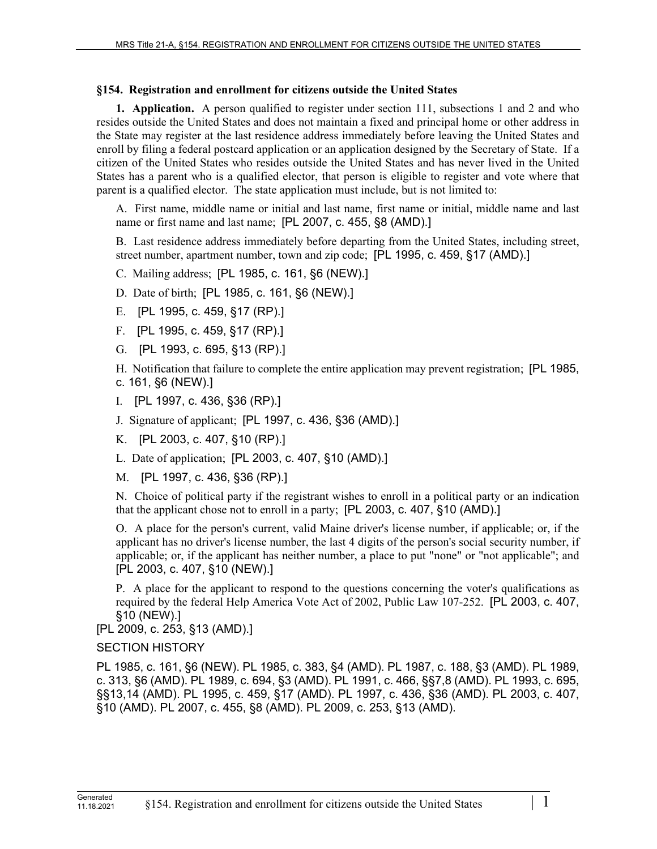## **§154. Registration and enrollment for citizens outside the United States**

**1. Application.** A person qualified to register under section 111, subsections 1 and 2 and who resides outside the United States and does not maintain a fixed and principal home or other address in the State may register at the last residence address immediately before leaving the United States and enroll by filing a federal postcard application or an application designed by the Secretary of State. If a citizen of the United States who resides outside the United States and has never lived in the United States has a parent who is a qualified elector, that person is eligible to register and vote where that parent is a qualified elector. The state application must include, but is not limited to:

A. First name, middle name or initial and last name, first name or initial, middle name and last name or first name and last name; [PL 2007, c. 455, §8 (AMD).]

B. Last residence address immediately before departing from the United States, including street, street number, apartment number, town and zip code; [PL 1995, c. 459, §17 (AMD).]

C. Mailing address; [PL 1985, c. 161, §6 (NEW).]

D. Date of birth; [PL 1985, c. 161, §6 (NEW).]

- E. [PL 1995, c. 459, §17 (RP).]
- F. [PL 1995, c. 459, §17 (RP).]
- G. [PL 1993, c. 695, §13 (RP).]

H. Notification that failure to complete the entire application may prevent registration; [PL 1985, c. 161, §6 (NEW).]

- I. [PL 1997, c. 436, §36 (RP).]
- J. Signature of applicant; [PL 1997, c. 436, §36 (AMD).]

K. [PL 2003, c. 407, §10 (RP).]

L. Date of application; [PL 2003, c. 407, §10 (AMD).]

M. [PL 1997, c. 436, §36 (RP).]

N. Choice of political party if the registrant wishes to enroll in a political party or an indication that the applicant chose not to enroll in a party; [PL 2003, c. 407, §10 (AMD).]

O. A place for the person's current, valid Maine driver's license number, if applicable; or, if the applicant has no driver's license number, the last 4 digits of the person's social security number, if applicable; or, if the applicant has neither number, a place to put "none" or "not applicable"; and [PL 2003, c. 407, §10 (NEW).]

P. A place for the applicant to respond to the questions concerning the voter's qualifications as required by the federal Help America Vote Act of 2002, Public Law 107-252. [PL 2003, c. 407, §10 (NEW).]

[PL 2009, c. 253, §13 (AMD).]

## SECTION HISTORY

PL 1985, c. 161, §6 (NEW). PL 1985, c. 383, §4 (AMD). PL 1987, c. 188, §3 (AMD). PL 1989, c. 313, §6 (AMD). PL 1989, c. 694, §3 (AMD). PL 1991, c. 466, §§7,8 (AMD). PL 1993, c. 695, §§13,14 (AMD). PL 1995, c. 459, §17 (AMD). PL 1997, c. 436, §36 (AMD). PL 2003, c. 407, §10 (AMD). PL 2007, c. 455, §8 (AMD). PL 2009, c. 253, §13 (AMD).